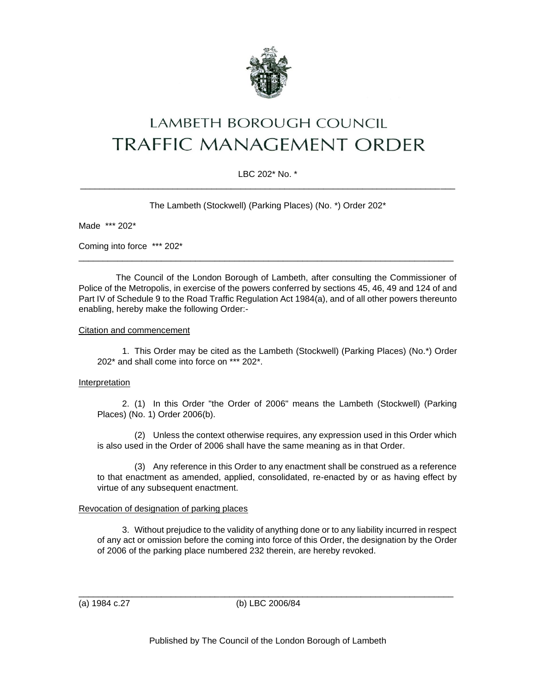

# LAMBETH BOROUGH COUNCIL **TRAFFIC MANAGEMENT ORDER**

# LBC 202\* No. \* \_\_\_\_\_\_\_\_\_\_\_\_\_\_\_\_\_\_\_\_\_\_\_\_\_\_\_\_\_\_\_\_\_\_\_\_\_\_\_\_\_\_\_\_\_\_\_\_\_\_\_\_\_\_\_\_\_\_\_\_\_\_\_\_\_\_\_\_\_\_\_\_\_\_\_\_\_

The Lambeth (Stockwell) (Parking Places) (No. \*) Order 202\*

Made \*\*\* 202\*

Coming into force \*\*\* 202\*

The Council of the London Borough of Lambeth, after consulting the Commissioner of Police of the Metropolis, in exercise of the powers conferred by sections 45, 46, 49 and 124 of and Part IV of Schedule 9 to the Road Traffic Regulation Act 1984(a), and of all other powers thereunto enabling, hereby make the following Order:-

\_\_\_\_\_\_\_\_\_\_\_\_\_\_\_\_\_\_\_\_\_\_\_\_\_\_\_\_\_\_\_\_\_\_\_\_\_\_\_\_\_\_\_\_\_\_\_\_\_\_\_\_\_\_\_\_\_\_\_\_\_\_\_\_\_\_\_\_\_\_\_\_\_\_\_\_\_

#### Citation and commencement

1. This Order may be cited as the Lambeth (Stockwell) (Parking Places) (No.\*) Order 202\* and shall come into force on \*\*\* 202\*.

## Interpretation

2. (1) In this Order "the Order of 2006" means the Lambeth (Stockwell) (Parking Places) (No. 1) Order 2006(b).

(2) Unless the context otherwise requires, any expression used in this Order which is also used in the Order of 2006 shall have the same meaning as in that Order.

(3) Any reference in this Order to any enactment shall be construed as a reference to that enactment as amended, applied, consolidated, re-enacted by or as having effect by virtue of any subsequent enactment.

## Revocation of designation of parking places

3. Without prejudice to the validity of anything done or to any liability incurred in respect of any act or omission before the coming into force of this Order, the designation by the Order of 2006 of the parking place numbered 232 therein, are hereby revoked.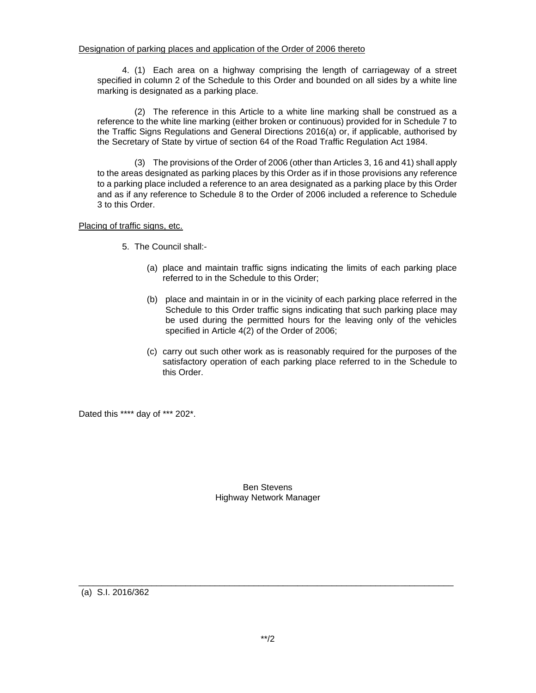4. (1) Each area on a highway comprising the length of carriageway of a street specified in column 2 of the Schedule to this Order and bounded on all sides by a white line marking is designated as a parking place.

(2) The reference in this Article to a white line marking shall be construed as a reference to the white line marking (either broken or continuous) provided for in Schedule 7 to the Traffic Signs Regulations and General Directions 2016(a) or, if applicable, authorised by the Secretary of State by virtue of section 64 of the Road Traffic Regulation Act 1984.

(3) The provisions of the Order of 2006 (other than Articles 3, 16 and 41) shall apply to the areas designated as parking places by this Order as if in those provisions any reference to a parking place included a reference to an area designated as a parking place by this Order and as if any reference to Schedule 8 to the Order of 2006 included a reference to Schedule 3 to this Order.

Placing of traffic signs, etc.

- 5. The Council shall:-
	- (a) place and maintain traffic signs indicating the limits of each parking place referred to in the Schedule to this Order;
	- (b) place and maintain in or in the vicinity of each parking place referred in the Schedule to this Order traffic signs indicating that such parking place may be used during the permitted hours for the leaving only of the vehicles specified in Article 4(2) of the Order of 2006;
	- (c) carry out such other work as is reasonably required for the purposes of the satisfactory operation of each parking place referred to in the Schedule to this Order.

Dated this \*\*\*\* day of \*\*\* 202\*.

## Ben Stevens Highway Network Manager

(a) S.I. 2016/362

\_\_\_\_\_\_\_\_\_\_\_\_\_\_\_\_\_\_\_\_\_\_\_\_\_\_\_\_\_\_\_\_\_\_\_\_\_\_\_\_\_\_\_\_\_\_\_\_\_\_\_\_\_\_\_\_\_\_\_\_\_\_\_\_\_\_\_\_\_\_\_\_\_\_\_\_\_